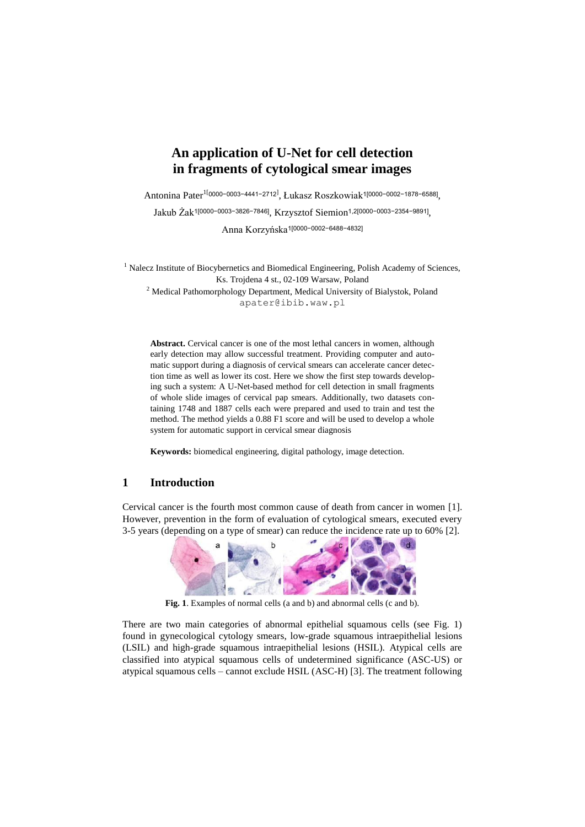# **An application of U-Net for cell detection in fragments of cytological smear images**

Antonina Pater<sup>1[</sup>0000-0003-4441-2712<sup>]</sup>, Łukasz Roszkowiak<sup>1</sup>[0000-0002-1878-6588],

Jakub Żak1[0000−0003−3826−7846], Krzysztof Siemion1,2[0000−0003−2354−9891] ,

Anna Korzyńska1[0000−0002−6488−4832]

<sup>1</sup> Nalecz Institute of Biocybernetics and Biomedical Engineering, Polish Academy of Sciences, Ks. Trojdena 4 st., 02-109 Warsaw, Poland <sup>2</sup> Medical Pathomorphology Department, Medical University of Bialystok, Poland apater@ibib.waw.pl

**Abstract.** Cervical cancer is one of the most lethal cancers in women, although early detection may allow successful treatment. Providing computer and automatic support during a diagnosis of cervical smears can accelerate cancer detection time as well as lower its cost. Here we show the first step towards developing such a system: A U-Net-based method for cell detection in small fragments of whole slide images of cervical pap smears. Additionally, two datasets containing 1748 and 1887 cells each were prepared and used to train and test the method. The method yields a 0.88 F1 score and will be used to develop a whole system for automatic support in cervical smear diagnosis

**Keywords:** biomedical engineering, digital pathology, image detection.

### **1 Introduction**

Cervical cancer is the fourth most common cause of death from cancer in women [1]. However, prevention in the form of evaluation of cytological smears, executed every 3-5 years (depending on a type of smear) can reduce the incidence rate up to 60% [2].



**Fig. 1**. Examples of normal cells (a and b) and abnormal cells (c and b).

There are two main categories of abnormal epithelial squamous cells (see Fig. 1) found in gynecological cytology smears, low-grade squamous intraepithelial lesions (LSIL) and high-grade squamous intraepithelial lesions (HSIL). Atypical cells are classified into atypical squamous cells of undetermined significance (ASC-US) or atypical squamous cells – cannot exclude HSIL (ASC-H) [3]. The treatment following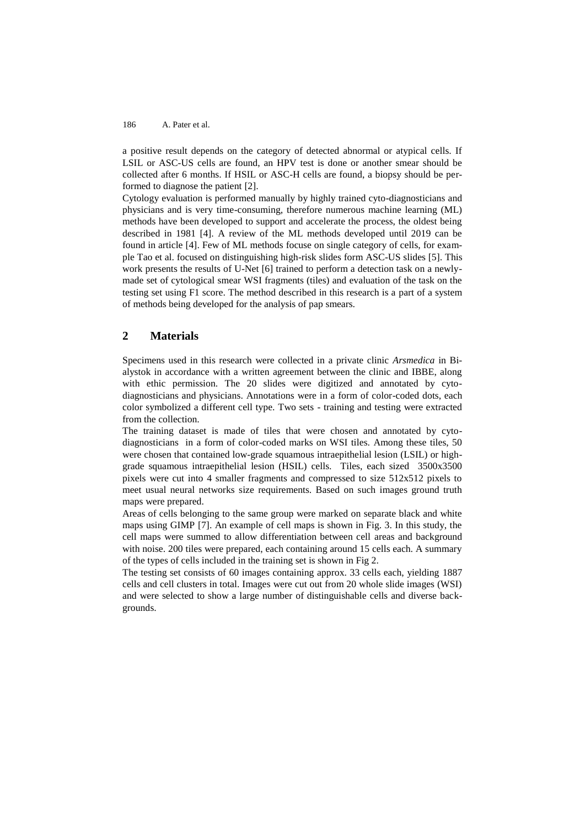#### 186 A. Pater et al.

a positive result depends on the category of detected abnormal or atypical cells. If LSIL or ASC-US cells are found, an HPV test is done or another smear should be collected after 6 months. If HSIL or ASC-H cells are found, a biopsy should be performed to diagnose the patient [2].

Cytology evaluation is performed manually by highly trained cyto-diagnosticians and physicians and is very time-consuming, therefore numerous machine learning (ML) methods have been developed to support and accelerate the process, the oldest being described in 1981 [4]. A review of the ML methods developed until 2019 can be found in article [4]. Few of ML methods focuse on single category of cells, for example Tao et al. focused on distinguishing high-risk slides form ASC-US slides [5]. This work presents the results of U-Net [6] trained to perform a detection task on a newlymade set of cytological smear WSI fragments (tiles) and evaluation of the task on the testing set using F1 score. The method described in this research is a part of a system of methods being developed for the analysis of pap smears.

### **2 Materials**

Specimens used in this research were collected in a private clinic *Arsmedica* in Bialystok in accordance with a written agreement between the clinic and IBBE, along with ethic permission. The 20 slides were digitized and annotated by cytodiagnosticians and physicians. Annotations were in a form of color-coded dots, each color symbolized a different cell type. Two sets - training and testing were extracted from the collection.

The training dataset is made of tiles that were chosen and annotated by cytodiagnosticians in a form of color-coded marks on WSI tiles. Among these tiles, 50 were chosen that contained low-grade squamous intraepithelial lesion (LSIL) or highgrade squamous intraepithelial lesion (HSIL) cells. Tiles, each sized 3500x3500 pixels were cut into 4 smaller fragments and compressed to size 512x512 pixels to meet usual neural networks size requirements. Based on such images ground truth maps were prepared.

Areas of cells belonging to the same group were marked on separate black and white maps using GIMP [7]. An example of cell maps is shown in Fig. 3. In this study, the cell maps were summed to allow differentiation between cell areas and background with noise. 200 tiles were prepared, each containing around 15 cells each. A summary of the types of cells included in the training set is shown in Fig 2.

The testing set consists of 60 images containing approx. 33 cells each, yielding 1887 cells and cell clusters in total. Images were cut out from 20 whole slide images (WSI) and were selected to show a large number of distinguishable cells and diverse backgrounds.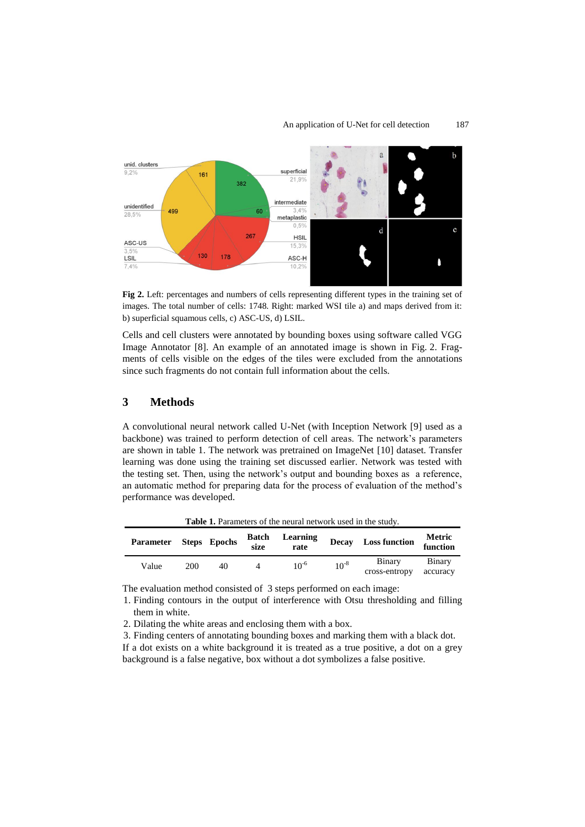#### An application of U-Net for cell detection 187



**Fig 2.** Left: percentages and numbers of cells representing different types in the training set of images. The total number of cells: 1748. Right: marked WSI tile a) and maps derived from it: b) superficial squamous cells, c) ASC-US, d) LSIL.

Cells and cell clusters were annotated by bounding boxes using software called VGG Image Annotator [8]. An example of an annotated image is shown in Fig. 2. Fragments of cells visible on the edges of the tiles were excluded from the annotations since such fragments do not contain full information about the cells.

## **3 Methods**

A convolutional neural network called U-Net (with Inception Network [9] used as a backbone) was trained to perform detection of cell areas. The network's parameters are shown in table 1. The network was pretrained on ImageNet [10] dataset. Transfer learning was done using the training set discussed earlier. Network was tested with the testing set. Then, using the network's output and bounding boxes as a reference, an automatic method for preparing data for the process of evaluation of the method's performance was developed.

**Table 1.** Parameters of the neural network used in the study.

| <b>Parameter</b> |     | Steps Epochs | <b>Batch</b><br>size | Learning<br>rate |           | Decay Loss function     | Metric<br>function |
|------------------|-----|--------------|----------------------|------------------|-----------|-------------------------|--------------------|
| Value            | 200 | 40           |                      | $10^{-6}$        | $10^{-8}$ | Binary<br>cross-entropy | Binary<br>accuracy |

The evaluation method consisted of 3 steps performed on each image:

1. Finding contours in the output of interference with Otsu thresholding and filling them in white.

2. Dilating the white areas and enclosing them with a box.

3. Finding centers of annotating bounding boxes and marking them with a black dot. If a dot exists on a white background it is treated as a true positive, a dot on a grey background is a false negative, box without a dot symbolizes a false positive.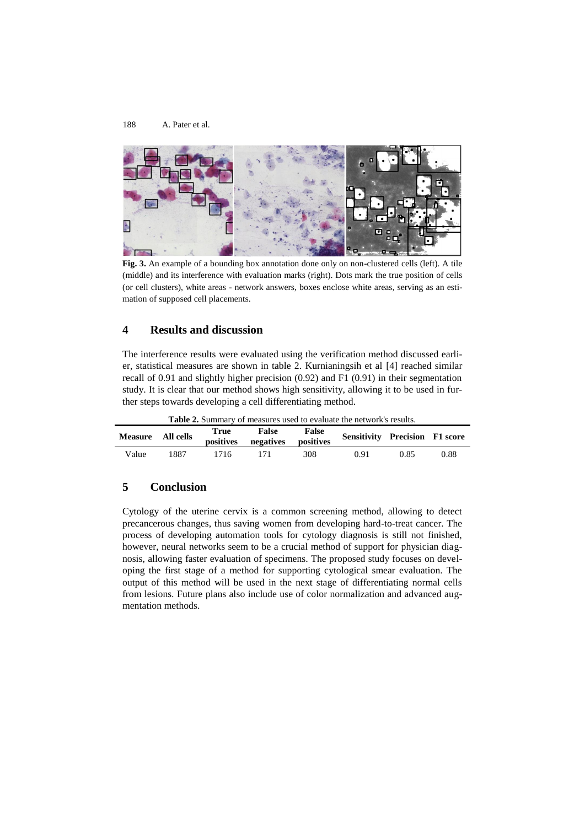188 A. Pater et al.



**Fig. 3.** An example of a bounding box annotation done only on non-clustered cells (left). A tile (middle) and its interference with evaluation marks (right). Dots mark the true position of cells (or cell clusters), white areas - network answers, boxes enclose white areas, serving as an estimation of supposed cell placements.

## **4 Results and discussion**

The interference results were evaluated using the verification method discussed earlier, statistical measures are shown in table 2. Kurnianingsih et al [4] reached similar recall of 0.91 and slightly higher precision (0.92) and F1 (0.91) in their segmentation study. It is clear that our method shows high sensitivity, allowing it to be used in further steps towards developing a cell differentiating method.

**Table 2.** Summary of measures used to evaluate the network's results.

| Measure All cells |      | True<br>positives | False<br>negatives r | False<br>positives | <b>Sensitivity Precision F1 score</b> |      |      |
|-------------------|------|-------------------|----------------------|--------------------|---------------------------------------|------|------|
| Value             | 1887 | 1716              |                      | 308                | 0.91                                  | 0.85 | 0.88 |

## **5 Conclusion**

Cytology of the uterine cervix is a common screening method, allowing to detect precancerous changes, thus saving women from developing hard-to-treat cancer. The process of developing automation tools for cytology diagnosis is still not finished, however, neural networks seem to be a crucial method of support for physician diagnosis, allowing faster evaluation of specimens. The proposed study focuses on developing the first stage of a method for supporting cytological smear evaluation. The output of this method will be used in the next stage of differentiating normal cells from lesions. Future plans also include use of color normalization and advanced augmentation methods.